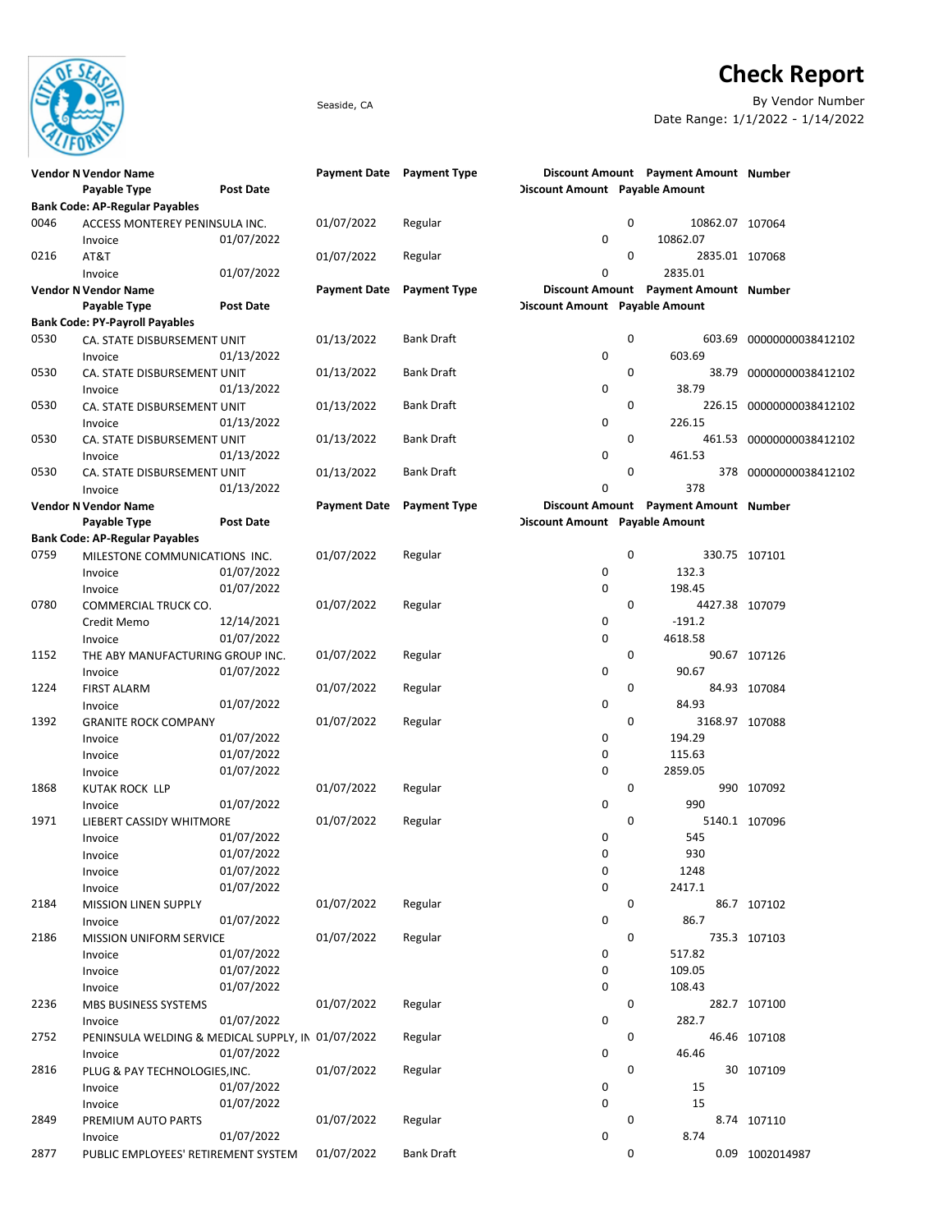

## Check Report

Seaside, CA By Vendor Number Date Range: 1/1/2022 - 1/14/2022

|      | <b>Vendor N Vendor Name</b>                       |                  | Payment Date Payment Type |                     |                                |   | Discount Amount Payment Amount Number |                          |
|------|---------------------------------------------------|------------------|---------------------------|---------------------|--------------------------------|---|---------------------------------------|--------------------------|
|      | Payable Type                                      | <b>Post Date</b> |                           |                     | Discount Amount Payable Amount |   |                                       |                          |
|      | <b>Bank Code: AP-Regular Payables</b>             |                  |                           |                     |                                |   |                                       |                          |
| 0046 | ACCESS MONTEREY PENINSULA INC.                    |                  | 01/07/2022                | Regular             |                                | 0 | 10862.07 107064                       |                          |
|      | Invoice                                           | 01/07/2022       |                           |                     | 0                              |   | 10862.07                              |                          |
| 0216 | AT&T                                              |                  | 01/07/2022                | Regular             |                                | 0 | 2835.01 107068                        |                          |
|      | Invoice                                           | 01/07/2022       |                           |                     | 0                              |   | 2835.01                               |                          |
|      | <b>Vendor N Vendor Name</b>                       |                  | <b>Payment Date</b>       | <b>Payment Type</b> |                                |   | Discount Amount Payment Amount Number |                          |
|      | Payable Type                                      | <b>Post Date</b> |                           |                     | Discount Amount Payable Amount |   |                                       |                          |
|      | <b>Bank Code: PY-Payroll Payables</b>             |                  |                           |                     |                                |   |                                       |                          |
| 0530 | CA. STATE DISBURSEMENT UNIT                       |                  | 01/13/2022                | <b>Bank Draft</b>   |                                | 0 | 603.69                                | 00000000038412102        |
|      | Invoice                                           | 01/13/2022       |                           |                     | 0                              |   | 603.69                                |                          |
| 0530 | CA. STATE DISBURSEMENT UNIT                       |                  | 01/13/2022                | <b>Bank Draft</b>   |                                | 0 |                                       | 38.79 00000000038412102  |
|      | Invoice                                           | 01/13/2022       |                           |                     | 0                              |   | 38.79                                 |                          |
| 0530 | CA. STATE DISBURSEMENT UNIT                       |                  | 01/13/2022                | <b>Bank Draft</b>   |                                | 0 |                                       | 226.15 00000000038412102 |
|      | Invoice                                           | 01/13/2022       |                           |                     | 0                              |   | 226.15                                |                          |
| 0530 | CA. STATE DISBURSEMENT UNIT                       |                  | 01/13/2022                | <b>Bank Draft</b>   |                                | 0 |                                       | 461.53 00000000038412102 |
|      | Invoice                                           | 01/13/2022       |                           |                     | 0                              |   | 461.53                                |                          |
| 0530 | CA. STATE DISBURSEMENT UNIT                       |                  | 01/13/2022                | <b>Bank Draft</b>   |                                | 0 |                                       |                          |
|      |                                                   |                  |                           |                     | 0                              |   | 378                                   | 378 00000000038412102    |
|      | Invoice                                           | 01/13/2022       |                           |                     |                                |   |                                       |                          |
|      | <b>Vendor N Vendor Name</b>                       |                  | <b>Payment Date</b>       | <b>Payment Type</b> |                                |   | Discount Amount Payment Amount Number |                          |
|      | Payable Type                                      | <b>Post Date</b> |                           |                     | Discount Amount Payable Amount |   |                                       |                          |
|      | <b>Bank Code: AP-Regular Payables</b>             |                  |                           |                     |                                |   |                                       |                          |
| 0759 | MILESTONE COMMUNICATIONS INC.                     |                  | 01/07/2022                | Regular             |                                | 0 |                                       | 330.75 107101            |
|      | Invoice                                           | 01/07/2022       |                           |                     | 0                              |   | 132.3                                 |                          |
|      | Invoice                                           | 01/07/2022       |                           |                     | 0                              |   | 198.45                                |                          |
| 0780 | COMMERCIAL TRUCK CO.                              |                  | 01/07/2022                | Regular             |                                | 0 | 4427.38 107079                        |                          |
|      | Credit Memo                                       | 12/14/2021       |                           |                     | 0                              |   | $-191.2$                              |                          |
|      | Invoice                                           | 01/07/2022       |                           |                     | 0                              |   | 4618.58                               |                          |
| 1152 | THE ABY MANUFACTURING GROUP INC.                  |                  | 01/07/2022                | Regular             |                                | 0 |                                       | 90.67 107126             |
|      | Invoice                                           | 01/07/2022       |                           |                     | 0                              |   | 90.67                                 |                          |
| 1224 | <b>FIRST ALARM</b>                                |                  | 01/07/2022                | Regular             |                                | 0 |                                       | 84.93 107084             |
|      | Invoice                                           | 01/07/2022       |                           |                     | 0                              |   | 84.93                                 |                          |
| 1392 | <b>GRANITE ROCK COMPANY</b>                       |                  | 01/07/2022                | Regular             |                                | 0 | 3168.97 107088                        |                          |
|      | Invoice                                           | 01/07/2022       |                           |                     | 0                              |   | 194.29                                |                          |
|      | Invoice                                           | 01/07/2022       |                           |                     | 0                              |   | 115.63                                |                          |
|      | Invoice                                           | 01/07/2022       |                           |                     | 0                              |   | 2859.05                               |                          |
| 1868 | <b>KUTAK ROCK LLP</b>                             |                  | 01/07/2022                | Regular             |                                | 0 |                                       | 990 107092               |
|      | Invoice                                           | 01/07/2022       |                           |                     | 0                              |   | 990                                   |                          |
| 1971 | LIEBERT CASSIDY WHITMORE                          |                  | 01/07/2022                | Regular             |                                | 0 |                                       | 5140.1 107096            |
|      | Invoice                                           | 01/07/2022       |                           |                     | 0                              |   | 545                                   |                          |
|      | Invoice                                           | 01/07/2022       |                           |                     | 0                              |   | 930                                   |                          |
|      | Invoice                                           | 01/07/2022       |                           |                     | 0                              |   | 1248                                  |                          |
|      | Invoice                                           | 01/07/2022       |                           |                     | 0                              |   | 2417.1                                |                          |
| 2184 | MISSION LINEN SUPPLY                              |                  | 01/07/2022                | Regular             |                                | 0 |                                       | 86.7 107102              |
|      | Invoice                                           | 01/07/2022       |                           |                     | 0                              |   | 86.7                                  |                          |
| 2186 | <b>MISSION UNIFORM SERVICE</b>                    |                  | 01/07/2022                | Regular             |                                | 0 |                                       | 735.3 107103             |
|      | Invoice                                           | 01/07/2022       |                           |                     | 0                              |   | 517.82                                |                          |
|      | Invoice                                           | 01/07/2022       |                           |                     | 0                              |   | 109.05                                |                          |
|      | Invoice                                           | 01/07/2022       |                           |                     | 0                              |   | 108.43                                |                          |
| 2236 | MBS BUSINESS SYSTEMS                              |                  | 01/07/2022                | Regular             |                                | 0 |                                       | 282.7 107100             |
|      | Invoice                                           | 01/07/2022       |                           |                     | 0                              |   | 282.7                                 |                          |
| 2752 | PENINSULA WELDING & MEDICAL SUPPLY, IN 01/07/2022 |                  |                           | Regular             |                                | 0 |                                       | 46.46 107108             |
|      |                                                   | 01/07/2022       |                           |                     | 0                              |   | 46.46                                 |                          |
|      | Invoice                                           |                  |                           |                     |                                |   |                                       |                          |
| 2816 | PLUG & PAY TECHNOLOGIES, INC.                     | 01/07/2022       | 01/07/2022                | Regular             | 0                              | 0 | 15                                    | 30 107109                |
|      | Invoice                                           |                  |                           |                     |                                |   |                                       |                          |
|      | Invoice                                           | 01/07/2022       |                           |                     | 0                              |   | 15                                    |                          |
| 2849 | PREMIUM AUTO PARTS                                |                  | 01/07/2022                | Regular             |                                | 0 |                                       | 8.74 107110              |
|      | Invoice                                           | 01/07/2022       |                           |                     | 0                              |   | 8.74                                  |                          |
| 2877 | PUBLIC EMPLOYEES' RETIREMENT SYSTEM               |                  | 01/07/2022                | <b>Bank Draft</b>   |                                | 0 |                                       | 0.09 1002014987          |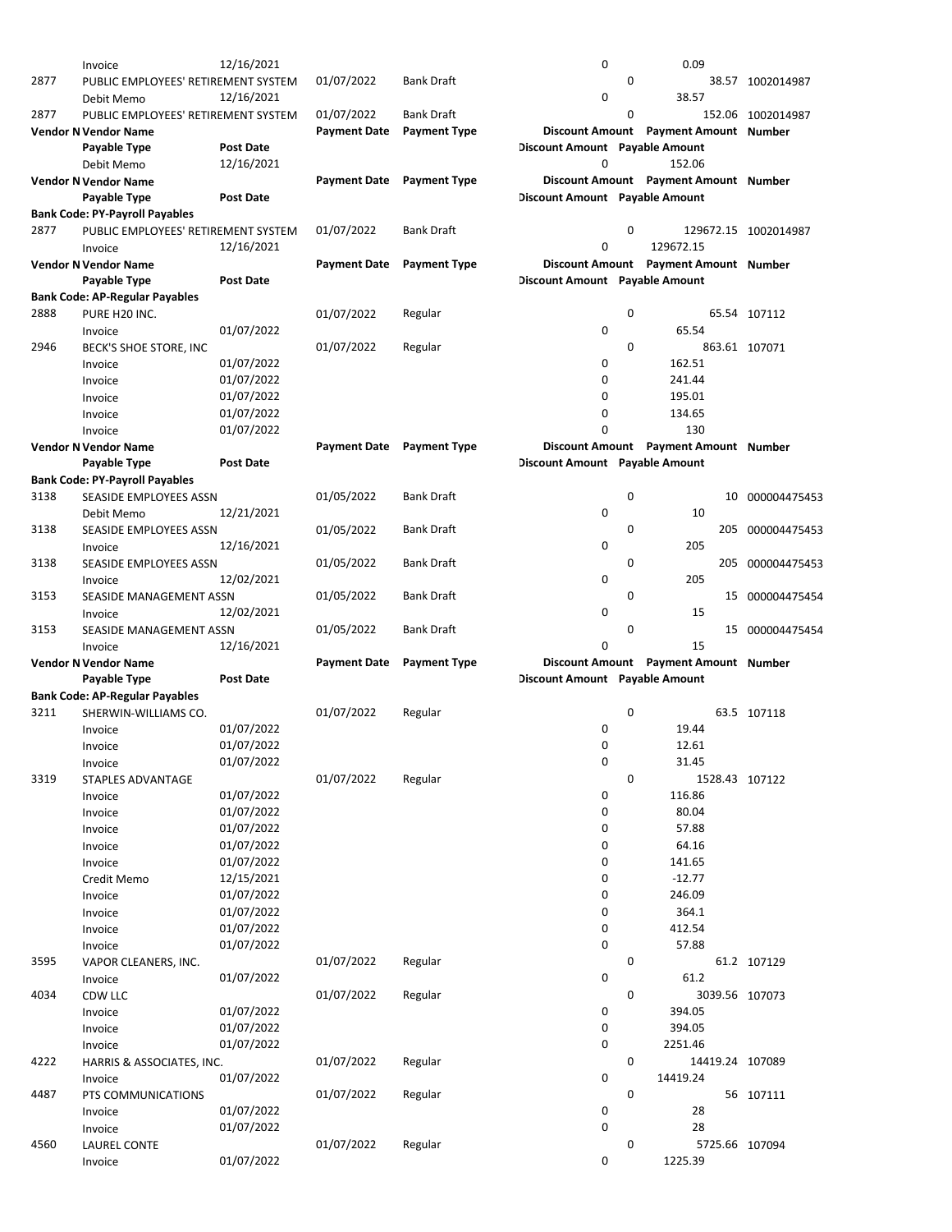|      | Invoice                                     | 12/16/2021       |                                  |                     | 0                              |             | 0.09                                  |                      |
|------|---------------------------------------------|------------------|----------------------------------|---------------------|--------------------------------|-------------|---------------------------------------|----------------------|
| 2877 | PUBLIC EMPLOYEES' RETIREMENT SYSTEM         |                  | 01/07/2022                       | <b>Bank Draft</b>   |                                | $\mathbf 0$ |                                       | 38.57 1002014987     |
|      | Debit Memo                                  | 12/16/2021       |                                  |                     | 0                              |             | 38.57                                 |                      |
| 2877 | PUBLIC EMPLOYEES' RETIREMENT SYSTEM         |                  | 01/07/2022                       | <b>Bank Draft</b>   |                                | 0           |                                       | 152.06 1002014987    |
|      | <b>Vendor N Vendor Name</b>                 |                  | <b>Payment Date</b>              | <b>Payment Type</b> |                                |             | Discount Amount Payment Amount Number |                      |
|      | Payable Type                                | <b>Post Date</b> |                                  |                     | Discount Amount Payable Amount |             |                                       |                      |
|      | Debit Memo                                  | 12/16/2021       |                                  |                     | O                              |             | 152.06                                |                      |
|      | <b>Vendor N Vendor Name</b>                 |                  | <b>Payment Date</b>              | <b>Payment Type</b> |                                |             | Discount Amount Payment Amount Number |                      |
|      | Payable Type                                | <b>Post Date</b> |                                  |                     | Discount Amount Payable Amount |             |                                       |                      |
|      | <b>Bank Code: PY-Payroll Payables</b>       |                  |                                  |                     |                                |             |                                       |                      |
| 2877 | PUBLIC EMPLOYEES' RETIREMENT SYSTEM         |                  | 01/07/2022                       | <b>Bank Draft</b>   |                                | $\mathbf 0$ |                                       | 129672.15 1002014987 |
|      | Invoice                                     | 12/16/2021       |                                  |                     | 0                              |             | 129672.15                             |                      |
|      | <b>Vendor N Vendor Name</b>                 |                  | <b>Payment Date</b>              | <b>Payment Type</b> |                                |             | Discount Amount Payment Amount Number |                      |
|      | Payable Type                                | <b>Post Date</b> |                                  |                     | Discount Amount Payable Amount |             |                                       |                      |
|      | <b>Bank Code: AP-Regular Payables</b>       |                  |                                  |                     |                                |             |                                       |                      |
| 2888 | PURE H20 INC.                               |                  | 01/07/2022                       | Regular             |                                | 0           |                                       | 65.54 107112         |
|      | Invoice                                     | 01/07/2022       |                                  |                     | 0                              |             | 65.54                                 |                      |
| 2946 | BECK'S SHOE STORE, INC                      |                  | 01/07/2022                       | Regular             |                                | 0           |                                       | 863.61 107071        |
|      | Invoice                                     | 01/07/2022       |                                  |                     | 0                              |             | 162.51                                |                      |
|      | Invoice                                     | 01/07/2022       |                                  |                     | 0                              |             | 241.44                                |                      |
|      | Invoice                                     | 01/07/2022       |                                  |                     | 0                              |             | 195.01                                |                      |
|      | Invoice                                     | 01/07/2022       |                                  |                     | 0                              |             | 134.65                                |                      |
|      |                                             | 01/07/2022       |                                  |                     | 0                              |             | 130                                   |                      |
|      | Invoice<br><b>Vendor N Vendor Name</b>      |                  | <b>Payment Date</b> Payment Type |                     |                                |             | Discount Amount Payment Amount Number |                      |
|      | Payable Type                                | <b>Post Date</b> |                                  |                     | Discount Amount Payable Amount |             |                                       |                      |
|      | <b>Bank Code: PY-Payroll Payables</b>       |                  |                                  |                     |                                |             |                                       |                      |
| 3138 | SEASIDE EMPLOYEES ASSN                      |                  | 01/05/2022                       | <b>Bank Draft</b>   |                                | 0           | 10                                    | 000004475453         |
|      |                                             | 12/21/2021       |                                  |                     | 0                              |             | 10                                    |                      |
| 3138 | Debit Memo<br>SEASIDE EMPLOYEES ASSN        |                  | 01/05/2022                       | <b>Bank Draft</b>   |                                | 0           | 205                                   | 000004475453         |
|      |                                             | 12/16/2021       |                                  |                     | 0                              |             | 205                                   |                      |
|      | Invoice                                     |                  |                                  |                     |                                | 0           |                                       |                      |
| 3138 | SEASIDE EMPLOYEES ASSN                      |                  | 01/05/2022                       | <b>Bank Draft</b>   |                                |             | 205                                   | 000004475453         |
|      | Invoice                                     | 12/02/2021       |                                  |                     | 0                              |             | 205                                   |                      |
| 3153 | SEASIDE MANAGEMENT ASSN                     |                  | 01/05/2022                       | <b>Bank Draft</b>   |                                | 0           | 15                                    | 000004475454         |
|      | Invoice                                     | 12/02/2021       |                                  |                     | 0                              |             | 15                                    |                      |
| 3153 | SEASIDE MANAGEMENT ASSN                     |                  | 01/05/2022                       | <b>Bank Draft</b>   |                                | $\mathbf 0$ |                                       | 15 000004475454      |
|      | Invoice                                     | 12/16/2021       |                                  |                     | 0                              |             | 15                                    |                      |
|      | <b>Vendor N Vendor Name</b><br>Payable Type | <b>Post Date</b> | <b>Payment Date</b>              | <b>Payment Type</b> | Discount Amount Payable Amount |             | Discount Amount Payment Amount Number |                      |
|      |                                             |                  |                                  |                     |                                |             |                                       |                      |
|      |                                             |                  |                                  |                     |                                |             |                                       |                      |
|      | <b>Bank Code: AP-Regular Payables</b>       |                  |                                  |                     |                                |             |                                       |                      |
| 3211 | SHERWIN-WILLIAMS CO.                        |                  | 01/07/2022                       | Regular             |                                | 0           |                                       | 63.5 107118          |
|      | Invoice                                     | 01/07/2022       |                                  |                     | 0                              |             | 19.44                                 |                      |
|      | Invoice                                     | 01/07/2022       |                                  |                     | 0                              |             | 12.61                                 |                      |
|      | Invoice                                     | 01/07/2022       |                                  |                     | 0                              |             | 31.45                                 |                      |
| 3319 | <b>STAPLES ADVANTAGE</b>                    |                  | 01/07/2022                       | Regular             |                                | 0           | 1528.43 107122                        |                      |
|      | Invoice                                     | 01/07/2022       |                                  |                     | 0                              |             | 116.86                                |                      |
|      | Invoice                                     | 01/07/2022       |                                  |                     | 0                              |             | 80.04                                 |                      |
|      | Invoice                                     | 01/07/2022       |                                  |                     | 0                              |             | 57.88                                 |                      |
|      | Invoice                                     | 01/07/2022       |                                  |                     | 0                              |             | 64.16                                 |                      |
|      | Invoice                                     | 01/07/2022       |                                  |                     | 0                              |             | 141.65                                |                      |
|      | Credit Memo                                 | 12/15/2021       |                                  |                     | 0                              |             | $-12.77$                              |                      |
|      | Invoice                                     | 01/07/2022       |                                  |                     | 0                              |             | 246.09                                |                      |
|      | Invoice                                     | 01/07/2022       |                                  |                     | 0                              |             | 364.1                                 |                      |
|      | Invoice                                     | 01/07/2022       |                                  |                     | 0                              |             | 412.54                                |                      |
|      | Invoice                                     | 01/07/2022       |                                  |                     | 0                              |             | 57.88                                 |                      |
| 3595 | VAPOR CLEANERS, INC.                        |                  | 01/07/2022                       | Regular             |                                | 0           |                                       | 61.2 107129          |
|      | Invoice                                     | 01/07/2022       |                                  |                     | 0                              |             | 61.2                                  |                      |
| 4034 | CDW LLC                                     |                  | 01/07/2022                       | Regular             |                                | 0           | 3039.56 107073                        |                      |
|      | Invoice                                     | 01/07/2022       |                                  |                     | 0                              |             | 394.05                                |                      |
|      | Invoice                                     | 01/07/2022       |                                  |                     | 0                              |             | 394.05                                |                      |
|      | Invoice                                     | 01/07/2022       |                                  |                     | 0                              |             | 2251.46                               |                      |
| 4222 | HARRIS & ASSOCIATES, INC.                   |                  | 01/07/2022                       | Regular             |                                | 0           | 14419.24 107089                       |                      |
|      | Invoice                                     | 01/07/2022       |                                  |                     | 0                              |             | 14419.24                              |                      |
| 4487 | PTS COMMUNICATIONS                          |                  | 01/07/2022                       | Regular             |                                | 0           |                                       | 56 107111            |
|      | Invoice                                     | 01/07/2022       |                                  |                     | 0                              |             | 28                                    |                      |
|      | Invoice                                     | 01/07/2022       |                                  |                     | 0                              |             | 28                                    |                      |
| 4560 | <b>LAUREL CONTE</b>                         |                  | 01/07/2022                       | Regular             |                                | 0           | 5725.66 107094                        |                      |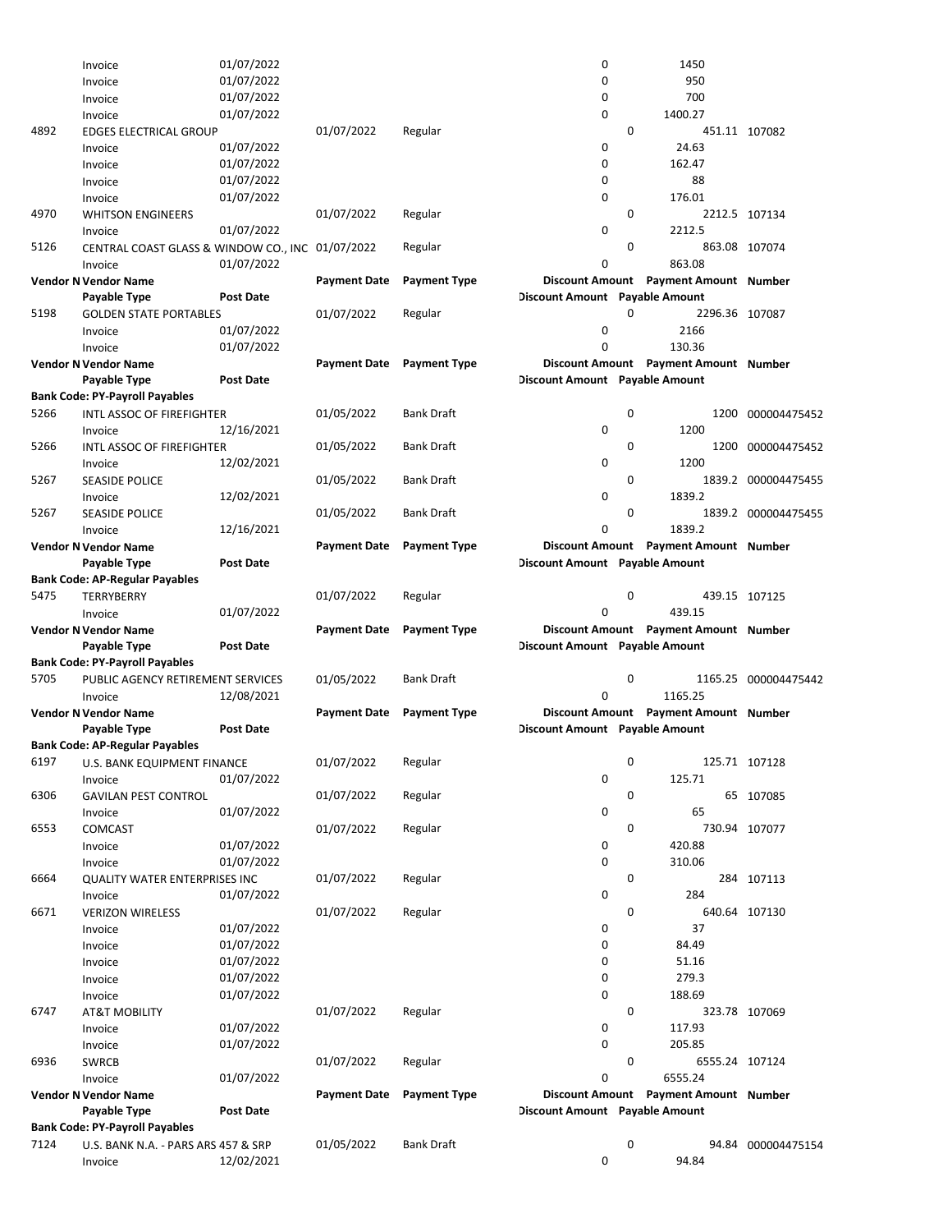|      | Invoice                                        | 01/07/2022       |                     |                     | 0                              |   | 1450                                  |                      |
|------|------------------------------------------------|------------------|---------------------|---------------------|--------------------------------|---|---------------------------------------|----------------------|
|      | Invoice                                        | 01/07/2022       |                     |                     | 0                              |   | 950                                   |                      |
|      | Invoice                                        | 01/07/2022       |                     |                     | 0                              |   | 700                                   |                      |
|      |                                                |                  |                     |                     |                                |   |                                       |                      |
|      | Invoice                                        | 01/07/2022       |                     |                     | 0                              |   | 1400.27                               |                      |
| 4892 | <b>EDGES ELECTRICAL GROUP</b>                  |                  | 01/07/2022          | Regular             |                                | 0 |                                       | 451.11 107082        |
|      | Invoice                                        | 01/07/2022       |                     |                     | 0                              |   | 24.63                                 |                      |
|      | Invoice                                        | 01/07/2022       |                     |                     | 0                              |   | 162.47                                |                      |
|      | Invoice                                        | 01/07/2022       |                     |                     | 0                              |   | 88                                    |                      |
|      | Invoice                                        | 01/07/2022       |                     |                     | 0                              |   | 176.01                                |                      |
|      |                                                |                  |                     |                     |                                |   |                                       |                      |
| 4970 | <b>WHITSON ENGINEERS</b>                       |                  | 01/07/2022          | Regular             |                                | 0 |                                       | 2212.5 107134        |
|      | Invoice                                        | 01/07/2022       |                     |                     | $\mathbf 0$                    |   | 2212.5                                |                      |
| 5126 | CENTRAL COAST GLASS & WINDOW CO., INC          |                  | 01/07/2022          | Regular             |                                | 0 |                                       | 863.08 107074        |
|      | Invoice                                        | 01/07/2022       |                     |                     | 0                              |   | 863.08                                |                      |
|      | <b>Vendor N Vendor Name</b>                    |                  | <b>Payment Date</b> | <b>Payment Type</b> |                                |   | Discount Amount Payment Amount Number |                      |
|      | Payable Type                                   | <b>Post Date</b> |                     |                     | Discount Amount Payable Amount |   |                                       |                      |
|      |                                                |                  |                     |                     |                                |   |                                       |                      |
| 5198 | <b>GOLDEN STATE PORTABLES</b>                  |                  | 01/07/2022          | Regular             |                                | 0 | 2296.36 107087                        |                      |
|      | Invoice                                        | 01/07/2022       |                     |                     | 0                              |   | 2166                                  |                      |
|      | Invoice                                        | 01/07/2022       |                     |                     | 0                              |   | 130.36                                |                      |
|      | <b>Vendor N Vendor Name</b>                    |                  | <b>Payment Date</b> | Payment Type        |                                |   | Discount Amount Payment Amount Number |                      |
|      | Payable Type                                   | <b>Post Date</b> |                     |                     | Discount Amount Payable Amount |   |                                       |                      |
|      | <b>Bank Code: PY-Payroll Payables</b>          |                  |                     |                     |                                |   |                                       |                      |
|      |                                                |                  |                     |                     |                                |   |                                       |                      |
| 5266 | INTL ASSOC OF FIREFIGHTER                      |                  | 01/05/2022          | <b>Bank Draft</b>   |                                | 0 | 1200                                  | 000004475452         |
|      | Invoice                                        | 12/16/2021       |                     |                     | 0                              |   | 1200                                  |                      |
| 5266 | INTL ASSOC OF FIREFIGHTER                      |                  | 01/05/2022          | <b>Bank Draft</b>   |                                | 0 | 1200                                  | 000004475452         |
|      | Invoice                                        | 12/02/2021       |                     |                     | 0                              |   | 1200                                  |                      |
| 5267 | <b>SEASIDE POLICE</b>                          |                  | 01/05/2022          | <b>Bank Draft</b>   |                                | 0 |                                       | 1839.2 000004475455  |
|      |                                                |                  |                     |                     |                                |   |                                       |                      |
|      | Invoice                                        | 12/02/2021       |                     |                     | 0                              |   | 1839.2                                |                      |
| 5267 | <b>SEASIDE POLICE</b>                          |                  | 01/05/2022          | <b>Bank Draft</b>   |                                | 0 |                                       | 1839.2 000004475455  |
|      | Invoice                                        | 12/16/2021       |                     |                     | 0                              |   | 1839.2                                |                      |
|      | <b>Vendor N Vendor Name</b>                    |                  | <b>Payment Date</b> | <b>Payment Type</b> |                                |   | Discount Amount Payment Amount Number |                      |
|      | Payable Type                                   | <b>Post Date</b> |                     |                     | Discount Amount Payable Amount |   |                                       |                      |
|      | <b>Bank Code: AP-Regular Payables</b>          |                  |                     |                     |                                |   |                                       |                      |
|      |                                                |                  |                     |                     |                                |   |                                       |                      |
| 5475 | <b>TERRYBERRY</b>                              |                  | 01/07/2022          | Regular             |                                | 0 |                                       | 439.15 107125        |
|      |                                                | 01/07/2022       |                     |                     | $\mathbf 0$                    |   |                                       |                      |
|      | Invoice                                        |                  |                     |                     |                                |   | 439.15                                |                      |
|      | <b>Vendor N Vendor Name</b>                    |                  | <b>Payment Date</b> | <b>Payment Type</b> |                                |   | Discount Amount Payment Amount Number |                      |
|      |                                                | <b>Post Date</b> |                     |                     |                                |   |                                       |                      |
|      | Payable Type                                   |                  |                     |                     | Discount Amount Payable Amount |   |                                       |                      |
|      | <b>Bank Code: PY-Payroll Payables</b>          |                  |                     |                     |                                |   |                                       |                      |
| 5705 | PUBLIC AGENCY RETIREMENT SERVICES              |                  | 01/05/2022          | <b>Bank Draft</b>   |                                | 0 |                                       | 1165.25 000004475442 |
|      | Invoice                                        | 12/08/2021       |                     |                     | 0                              |   | 1165.25                               |                      |
|      | <b>Vendor N Vendor Name</b>                    |                  | <b>Payment Date</b> | <b>Payment Type</b> |                                |   | Discount Amount Payment Amount Number |                      |
|      | Payable Type                                   | <b>Post Date</b> |                     |                     | Discount Amount Payable Amount |   |                                       |                      |
|      |                                                |                  |                     |                     |                                |   |                                       |                      |
|      | <b>Bank Code: AP-Regular Payables</b>          |                  |                     |                     |                                |   |                                       |                      |
| 6197 | U.S. BANK EQUIPMENT FINANCE                    |                  | 01/07/2022          | Regular             |                                | 0 |                                       | 125.71 107128        |
|      | Invoice                                        | 01/07/2022       |                     |                     | $\mathbf 0$                    |   | 125.71                                |                      |
| 6306 | <b>GAVILAN PEST CONTROL</b>                    |                  | 01/07/2022          | Regular             |                                | 0 |                                       | 65 107085            |
|      | Invoice                                        | 01/07/2022       |                     |                     | 0                              |   | 65                                    |                      |
|      |                                                |                  |                     |                     |                                | 0 |                                       |                      |
| 6553 | COMCAST                                        |                  | 01/07/2022          | Regular             |                                |   |                                       | 730.94 107077        |
|      | Invoice                                        | 01/07/2022       |                     |                     | 0                              |   | 420.88                                |                      |
|      | Invoice                                        | 01/07/2022       |                     |                     | 0                              |   | 310.06                                |                      |
| 6664 | <b>QUALITY WATER ENTERPRISES INC</b>           |                  | 01/07/2022          | Regular             |                                | 0 |                                       | 284 107113           |
|      | Invoice                                        | 01/07/2022       |                     |                     | 0                              |   | 284                                   |                      |
|      |                                                |                  | 01/07/2022          |                     |                                | 0 |                                       |                      |
| 6671 | <b>VERIZON WIRELESS</b>                        |                  |                     | Regular             |                                |   |                                       | 640.64 107130        |
|      | Invoice                                        | 01/07/2022       |                     |                     | 0                              |   | 37                                    |                      |
|      | Invoice                                        | 01/07/2022       |                     |                     | 0                              |   | 84.49                                 |                      |
|      | Invoice                                        | 01/07/2022       |                     |                     | 0                              |   | 51.16                                 |                      |
|      | Invoice                                        | 01/07/2022       |                     |                     | 0                              |   | 279.3                                 |                      |
|      | Invoice                                        | 01/07/2022       |                     |                     | 0                              |   | 188.69                                |                      |
| 6747 |                                                |                  | 01/07/2022          |                     |                                | 0 |                                       |                      |
|      | <b>AT&amp;T MOBILITY</b>                       |                  |                     | Regular             |                                |   |                                       | 323.78 107069        |
|      | Invoice                                        | 01/07/2022       |                     |                     | 0                              |   | 117.93                                |                      |
|      | Invoice                                        | 01/07/2022       |                     |                     | 0                              |   | 205.85                                |                      |
| 6936 | <b>SWRCB</b>                                   |                  | 01/07/2022          | Regular             |                                | 0 | 6555.24 107124                        |                      |
|      | Invoice                                        | 01/07/2022       |                     |                     | 0                              |   | 6555.24                               |                      |
|      | <b>Vendor N Vendor Name</b>                    |                  | <b>Payment Date</b> | <b>Payment Type</b> |                                |   | Discount Amount Payment Amount Number |                      |
|      |                                                |                  |                     |                     |                                |   |                                       |                      |
|      | Payable Type                                   | <b>Post Date</b> |                     |                     | Discount Amount Payable Amount |   |                                       |                      |
|      | <b>Bank Code: PY-Payroll Payables</b>          |                  |                     |                     |                                |   |                                       |                      |
| 7124 | U.S. BANK N.A. - PARS ARS 457 & SRP<br>Invoice | 12/02/2021       | 01/05/2022          | <b>Bank Draft</b>   | $\mathbf 0$                    | 0 | 94.84                                 | 94.84 000004475154   |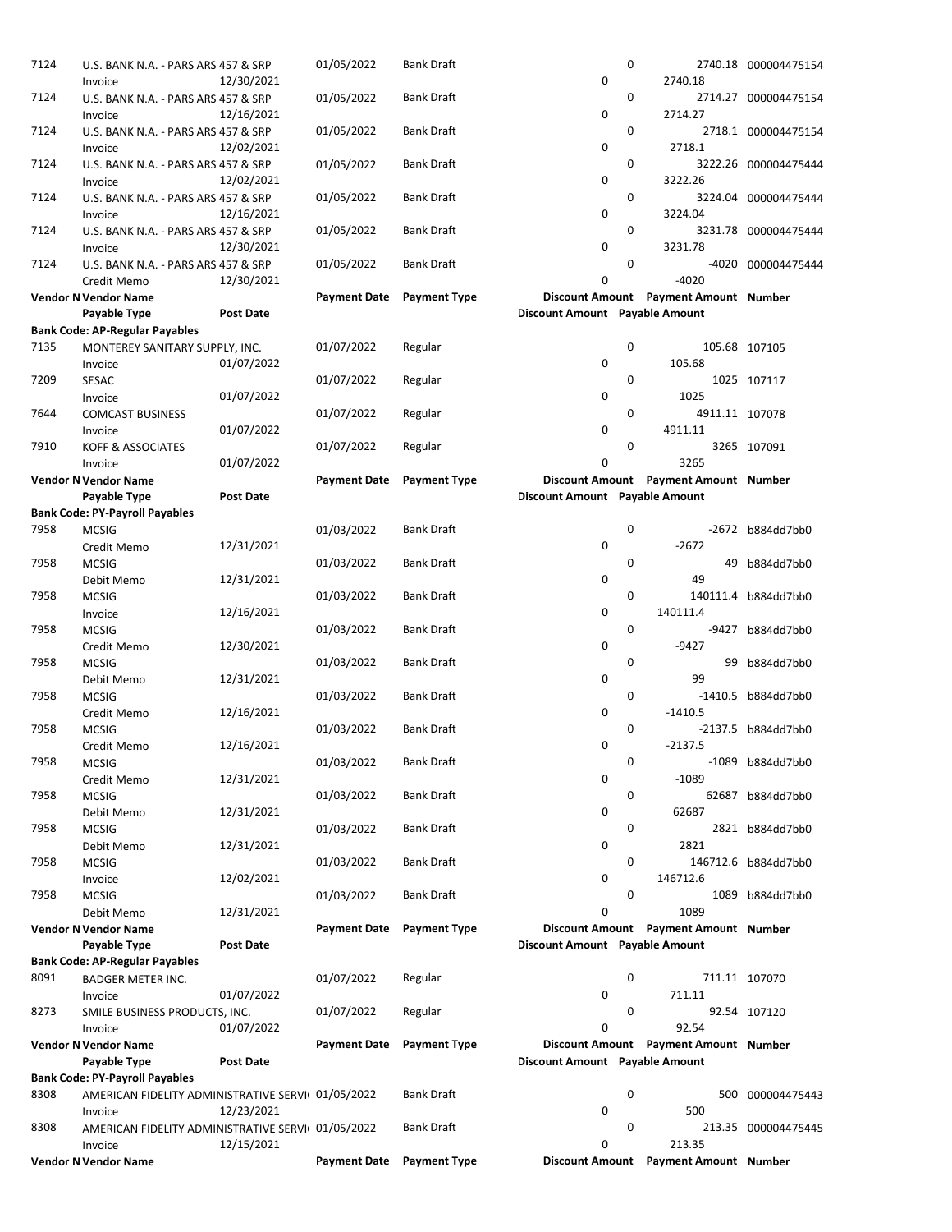| 7124 | U.S. BANK N.A. - PARS ARS 457 & SRP                           |                  | 01/05/2022          | <b>Bank Draft</b>   |                                | 0 |                                               | 2740.18 000004475154 |
|------|---------------------------------------------------------------|------------------|---------------------|---------------------|--------------------------------|---|-----------------------------------------------|----------------------|
|      | Invoice                                                       | 12/30/2021       |                     |                     | $\pmb{0}$                      |   | 2740.18                                       |                      |
| 7124 | U.S. BANK N.A. - PARS ARS 457 & SRP                           |                  | 01/05/2022          | Bank Draft          |                                | 0 |                                               | 2714.27 000004475154 |
| 7124 | Invoice                                                       | 12/16/2021       |                     |                     | 0                              | 0 | 2714.27                                       |                      |
|      | U.S. BANK N.A. - PARS ARS 457 & SRP<br>Invoice                | 12/02/2021       | 01/05/2022          | Bank Draft          | 0                              |   | 2718.1                                        | 2718.1 000004475154  |
| 7124 | U.S. BANK N.A. - PARS ARS 457 & SRP                           |                  | 01/05/2022          | Bank Draft          |                                | 0 |                                               | 3222.26 000004475444 |
|      | Invoice                                                       | 12/02/2021       |                     |                     | 0                              |   | 3222.26                                       |                      |
| 7124 | U.S. BANK N.A. - PARS ARS 457 & SRP                           |                  | 01/05/2022          | Bank Draft          |                                | 0 |                                               | 3224.04 000004475444 |
|      | Invoice                                                       | 12/16/2021       |                     |                     | 0                              |   | 3224.04                                       |                      |
| 7124 | U.S. BANK N.A. - PARS ARS 457 & SRP                           |                  | 01/05/2022          | Bank Draft          |                                | 0 |                                               | 3231.78 000004475444 |
|      | Invoice                                                       | 12/30/2021       |                     |                     | 0                              |   | 3231.78                                       |                      |
| 7124 | U.S. BANK N.A. - PARS ARS 457 & SRP                           |                  | 01/05/2022          | Bank Draft          |                                | 0 |                                               | -4020 000004475444   |
|      | Credit Memo                                                   | 12/30/2021       |                     |                     | 0                              |   | $-4020$                                       |                      |
|      | <b>Vendor N Vendor Name</b>                                   |                  | <b>Payment Date</b> | <b>Payment Type</b> |                                |   | Discount Amount Payment Amount Number         |                      |
|      | Payable Type                                                  | <b>Post Date</b> |                     |                     | Discount Amount Payable Amount |   |                                               |                      |
|      | <b>Bank Code: AP-Regular Payables</b>                         |                  |                     |                     |                                |   |                                               |                      |
| 7135 | MONTEREY SANITARY SUPPLY, INC.                                |                  | 01/07/2022          | Regular             |                                | 0 |                                               | 105.68 107105        |
|      | Invoice                                                       | 01/07/2022       |                     |                     | 0                              |   | 105.68                                        |                      |
| 7209 | <b>SESAC</b>                                                  |                  | 01/07/2022          | Regular             |                                | 0 |                                               | 1025 107117          |
|      | Invoice                                                       | 01/07/2022       |                     |                     | 0                              |   | 1025                                          |                      |
| 7644 | <b>COMCAST BUSINESS</b>                                       |                  | 01/07/2022          | Regular             |                                | 0 | 4911.11 107078                                |                      |
|      | Invoice                                                       | 01/07/2022       |                     |                     | 0                              |   | 4911.11                                       |                      |
| 7910 | <b>KOFF &amp; ASSOCIATES</b>                                  |                  | 01/07/2022          | Regular             |                                | 0 |                                               | 3265 107091          |
|      | Invoice                                                       | 01/07/2022       |                     | <b>Payment Type</b> | 0                              |   | 3265<br>Discount Amount Payment Amount Number |                      |
|      | <b>Vendor N Vendor Name</b><br>Payable Type                   | <b>Post Date</b> | <b>Payment Date</b> |                     | Discount Amount Payable Amount |   |                                               |                      |
|      | <b>Bank Code: PY-Payroll Payables</b>                         |                  |                     |                     |                                |   |                                               |                      |
| 7958 | <b>MCSIG</b>                                                  |                  | 01/03/2022          | Bank Draft          |                                | 0 |                                               | -2672 b884dd7bb0     |
|      | Credit Memo                                                   | 12/31/2021       |                     |                     | 0                              |   | $-2672$                                       |                      |
| 7958 | <b>MCSIG</b>                                                  |                  | 01/03/2022          | Bank Draft          |                                | 0 | 49                                            | b884dd7bb0           |
|      | Debit Memo                                                    | 12/31/2021       |                     |                     | 0                              |   | 49                                            |                      |
| 7958 | <b>MCSIG</b>                                                  |                  | 01/03/2022          | Bank Draft          |                                | 0 |                                               | 140111.4 b884dd7bb0  |
|      | Invoice                                                       | 12/16/2021       |                     |                     | 0                              |   | 140111.4                                      |                      |
| 7958 | <b>MCSIG</b>                                                  |                  | 01/03/2022          | Bank Draft          |                                | 0 |                                               | -9427 b884dd7bb0     |
|      | Credit Memo                                                   | 12/30/2021       |                     |                     | 0                              |   | $-9427$                                       |                      |
| 7958 | <b>MCSIG</b>                                                  |                  | 01/03/2022          | Bank Draft          |                                | 0 |                                               | 99 b884dd7bb0        |
|      | Debit Memo                                                    | 12/31/2021       |                     |                     | 0                              |   | 99                                            |                      |
| 7958 | <b>MCSIG</b>                                                  |                  | 01/03/2022          | <b>Bank Draft</b>   |                                | 0 |                                               | -1410.5 b884dd7bb0   |
|      | Credit Memo                                                   | 12/16/2021       |                     |                     | 0                              |   | $-1410.5$                                     |                      |
| 7958 | <b>MCSIG</b>                                                  |                  | 01/03/2022          | <b>Bank Draft</b>   |                                | 0 |                                               | -2137.5 b884dd7bb0   |
|      | Credit Memo                                                   | 12/16/2021       |                     |                     | 0                              |   | $-2137.5$                                     |                      |
| 7958 | <b>MCSIG</b>                                                  |                  | 01/03/2022          | Bank Draft          |                                | 0 |                                               | -1089 b884dd7bb0     |
|      | Credit Memo                                                   | 12/31/2021       |                     |                     | 0                              |   | $-1089$                                       |                      |
| 7958 | <b>MCSIG</b>                                                  |                  | 01/03/2022          | Bank Draft          | 0                              | 0 | 62687                                         | 62687 b884dd7bb0     |
| 7958 | Debit Memo<br><b>MCSIG</b>                                    | 12/31/2021       | 01/03/2022          | Bank Draft          |                                | 0 |                                               | 2821 b884dd7bb0      |
|      | Debit Memo                                                    | 12/31/2021       |                     |                     | 0                              |   | 2821                                          |                      |
| 7958 | <b>MCSIG</b>                                                  |                  | 01/03/2022          | Bank Draft          |                                | 0 |                                               | 146712.6 b884dd7bb0  |
|      | Invoice                                                       | 12/02/2021       |                     |                     | 0                              |   | 146712.6                                      |                      |
| 7958 | <b>MCSIG</b>                                                  |                  | 01/03/2022          | Bank Draft          |                                | 0 |                                               | 1089 b884dd7bb0      |
|      | Debit Memo                                                    | 12/31/2021       |                     |                     | 0                              |   | 1089                                          |                      |
|      | <b>Vendor N Vendor Name</b>                                   |                  | <b>Payment Date</b> | <b>Payment Type</b> |                                |   | Discount Amount Payment Amount Number         |                      |
|      | Payable Type                                                  | <b>Post Date</b> |                     |                     | Discount Amount Payable Amount |   |                                               |                      |
|      | <b>Bank Code: AP-Regular Payables</b>                         |                  |                     |                     |                                |   |                                               |                      |
| 8091 | <b>BADGER METER INC.</b>                                      |                  | 01/07/2022          | Regular             |                                | 0 |                                               | 711.11 107070        |
|      | Invoice                                                       | 01/07/2022       |                     |                     | 0                              |   | 711.11                                        |                      |
| 8273 | SMILE BUSINESS PRODUCTS, INC.                                 |                  | 01/07/2022          | Regular             |                                | 0 |                                               | 92.54 107120         |
|      | Invoice                                                       | 01/07/2022       |                     |                     | 0                              |   | 92.54                                         |                      |
|      | <b>Vendor N Vendor Name</b>                                   |                  | <b>Payment Date</b> | <b>Payment Type</b> |                                |   | Discount Amount Payment Amount Number         |                      |
|      | Payable Type                                                  | <b>Post Date</b> |                     |                     | Discount Amount Payable Amount |   |                                               |                      |
|      | <b>Bank Code: PY-Payroll Payables</b>                         |                  |                     |                     |                                |   |                                               |                      |
| 8308 | AMERICAN FIDELITY ADMINISTRATIVE SERVII 01/05/2022            |                  |                     | Bank Draft          |                                | 0 |                                               | 500 000004475443     |
| 8308 | Invoice<br>AMERICAN FIDELITY ADMINISTRATIVE SERVII 01/05/2022 | 12/23/2021       |                     | Bank Draft          | 0                              | 0 | 500                                           | 213.35 000004475445  |
|      | Invoice                                                       | 12/15/2021       |                     |                     | 0                              |   | 213.35                                        |                      |
|      | <b>Vendor N Vendor Name</b>                                   |                  | <b>Payment Date</b> | <b>Payment Type</b> |                                |   | Discount Amount Payment Amount Number         |                      |
|      |                                                               |                  |                     |                     |                                |   |                                               |                      |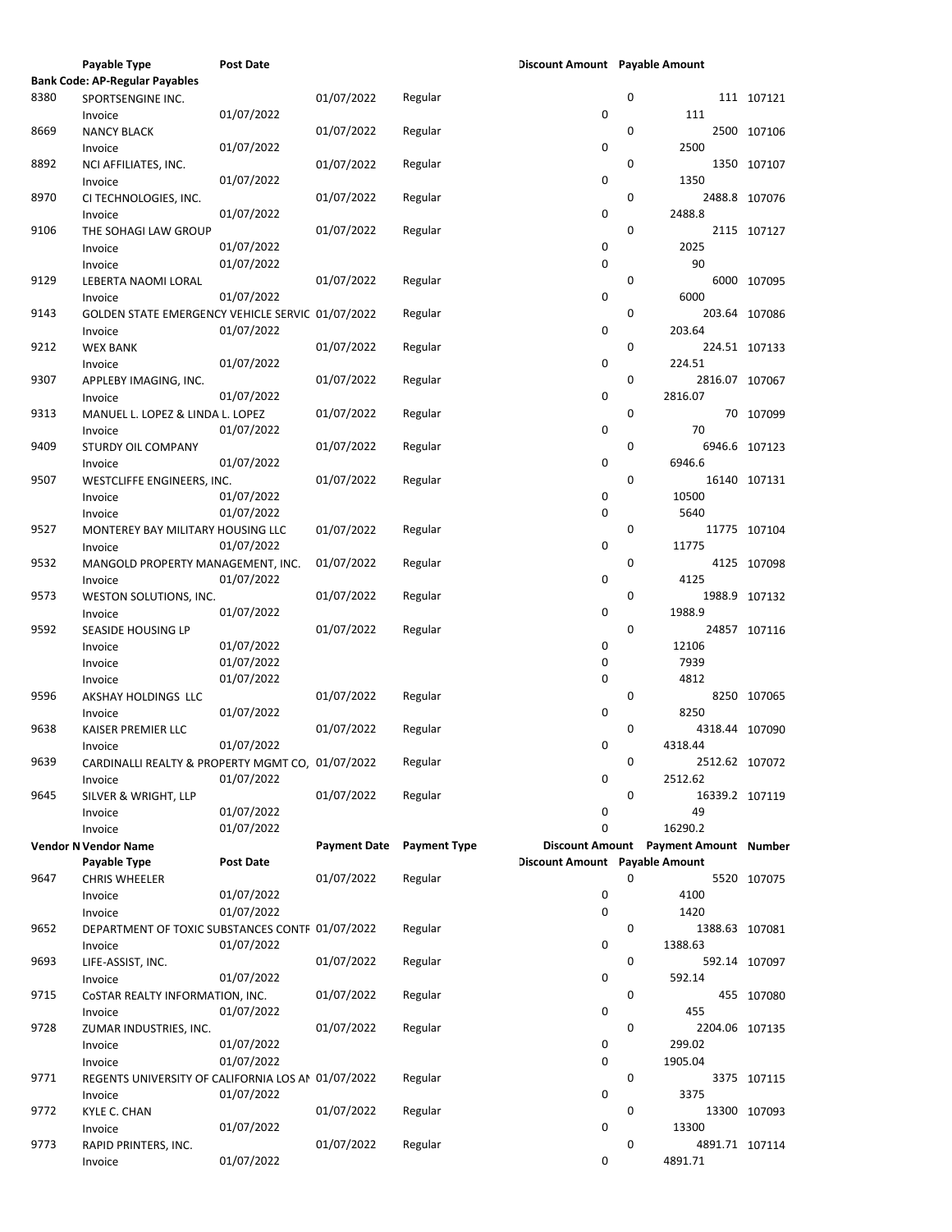|      | Payable Type                                       | <b>Post Date</b> |                     |                     | Discount Amount Payable Amount |             |                                       |               |
|------|----------------------------------------------------|------------------|---------------------|---------------------|--------------------------------|-------------|---------------------------------------|---------------|
|      | <b>Bank Code: AP-Regular Payables</b>              |                  |                     |                     |                                |             |                                       |               |
| 8380 | SPORTSENGINE INC.                                  |                  | 01/07/2022          | Regular             |                                | 0           |                                       | 111 107121    |
|      | Invoice                                            | 01/07/2022       |                     |                     | 0                              |             | 111                                   |               |
| 8669 | <b>NANCY BLACK</b>                                 |                  | 01/07/2022          | Regular             |                                | 0           |                                       | 2500 107106   |
|      | Invoice                                            | 01/07/2022       |                     |                     | 0                              |             | 2500                                  |               |
| 8892 |                                                    |                  | 01/07/2022          | Regular             |                                | 0           |                                       | 1350 107107   |
|      | NCI AFFILIATES, INC.                               |                  |                     |                     |                                |             |                                       |               |
|      | Invoice                                            | 01/07/2022       |                     |                     | 0                              |             | 1350                                  |               |
| 8970 | CI TECHNOLOGIES, INC.                              |                  | 01/07/2022          | Regular             |                                | 0           |                                       | 2488.8 107076 |
|      | Invoice                                            | 01/07/2022       |                     |                     | 0                              |             | 2488.8                                |               |
| 9106 | THE SOHAGI LAW GROUP                               |                  | 01/07/2022          | Regular             |                                | 0           |                                       | 2115 107127   |
|      | Invoice                                            | 01/07/2022       |                     |                     | 0                              |             | 2025                                  |               |
|      |                                                    | 01/07/2022       |                     |                     | 0                              |             | 90                                    |               |
|      | Invoice                                            |                  |                     |                     |                                |             |                                       |               |
| 9129 | LEBERTA NAOMI LORAL                                |                  | 01/07/2022          | Regular             |                                | 0           |                                       | 6000 107095   |
|      | Invoice                                            | 01/07/2022       |                     |                     | 0                              |             | 6000                                  |               |
| 9143 | GOLDEN STATE EMERGENCY VEHICLE SERVIC 01/07/2022   |                  |                     | Regular             |                                | 0           |                                       | 203.64 107086 |
|      | Invoice                                            | 01/07/2022       |                     |                     | 0                              |             | 203.64                                |               |
| 9212 | <b>WEX BANK</b>                                    |                  | 01/07/2022          | Regular             |                                | 0           |                                       | 224.51 107133 |
|      |                                                    |                  |                     |                     |                                |             |                                       |               |
|      | Invoice                                            | 01/07/2022       |                     |                     | 0                              |             | 224.51                                |               |
| 9307 | APPLEBY IMAGING, INC.                              |                  | 01/07/2022          | Regular             |                                | 0           | 2816.07 107067                        |               |
|      | Invoice                                            | 01/07/2022       |                     |                     | 0                              |             | 2816.07                               |               |
| 9313 | MANUEL L. LOPEZ & LINDA L. LOPEZ                   |                  | 01/07/2022          | Regular             |                                | 0           |                                       | 70 107099     |
|      | Invoice                                            | 01/07/2022       |                     |                     | 0                              |             | 70                                    |               |
| 9409 |                                                    |                  |                     |                     |                                | 0           |                                       |               |
|      | STURDY OIL COMPANY                                 |                  | 01/07/2022          | Regular             |                                |             |                                       | 6946.6 107123 |
|      | Invoice                                            | 01/07/2022       |                     |                     | 0                              |             | 6946.6                                |               |
| 9507 | WESTCLIFFE ENGINEERS, INC.                         |                  | 01/07/2022          | Regular             |                                | 0           |                                       | 16140 107131  |
|      | Invoice                                            | 01/07/2022       |                     |                     | 0                              |             | 10500                                 |               |
|      | Invoice                                            | 01/07/2022       |                     |                     | 0                              |             | 5640                                  |               |
| 9527 | MONTEREY BAY MILITARY HOUSING LLC                  |                  | 01/07/2022          | Regular             |                                | 0           |                                       | 11775 107104  |
|      |                                                    |                  |                     |                     |                                |             |                                       |               |
|      | Invoice                                            | 01/07/2022       |                     |                     | 0                              |             | 11775                                 |               |
| 9532 | MANGOLD PROPERTY MANAGEMENT, INC.                  |                  | 01/07/2022          | Regular             |                                | 0           |                                       | 4125 107098   |
|      | Invoice                                            | 01/07/2022       |                     |                     | 0                              |             | 4125                                  |               |
| 9573 | WESTON SOLUTIONS, INC.                             |                  | 01/07/2022          | Regular             |                                | 0           |                                       | 1988.9 107132 |
|      |                                                    | 01/07/2022       |                     |                     | 0                              |             | 1988.9                                |               |
|      | Invoice                                            |                  |                     |                     |                                |             |                                       |               |
| 9592 | SEASIDE HOUSING LP                                 |                  | 01/07/2022          | Regular             |                                | 0           |                                       | 24857 107116  |
|      | Invoice                                            | 01/07/2022       |                     |                     | 0                              |             | 12106                                 |               |
|      | Invoice                                            | 01/07/2022       |                     |                     | 0                              |             | 7939                                  |               |
|      | Invoice                                            | 01/07/2022       |                     |                     | 0                              |             | 4812                                  |               |
|      |                                                    |                  | 01/07/2022          |                     |                                | 0           |                                       |               |
| 9596 | AKSHAY HOLDINGS LLC                                |                  |                     | Regular             |                                |             |                                       | 8250 107065   |
|      | Invoice                                            | 01/07/2022       |                     |                     | 0                              |             | 8250                                  |               |
| 9638 | KAISER PREMIER LLC                                 |                  | 01/07/2022          | Regular             |                                | $\mathbf 0$ | 4318.44 107090                        |               |
|      | Invoice                                            | 01/07/2022       |                     |                     | 0                              |             | 4318.44                               |               |
| 9639 | CARDINALLI REALTY & PROPERTY MGMT CO, 01/07/2022   |                  |                     | Regular             |                                | 0           | 2512.62 107072                        |               |
|      | Invoice                                            | 01/07/2022       |                     |                     | 0                              |             | 2512.62                               |               |
|      |                                                    |                  |                     |                     |                                |             |                                       |               |
| 9645 | SILVER & WRIGHT, LLP                               |                  | 01/07/2022          | Regular             |                                | 0           | 16339.2 107119                        |               |
|      | Invoice                                            | 01/07/2022       |                     |                     | 0                              |             | 49                                    |               |
|      | Invoice                                            | 01/07/2022       |                     |                     | 0                              |             | 16290.2                               |               |
|      | <b>Vendor N Vendor Name</b>                        |                  | <b>Payment Date</b> | <b>Payment Type</b> |                                |             | Discount Amount Payment Amount Number |               |
|      | Payable Type                                       | Post Date        |                     |                     | Discount Amount Payable Amount |             |                                       |               |
|      |                                                    |                  | 01/07/2022          |                     |                                | 0           |                                       |               |
| 9647 | <b>CHRIS WHEELER</b>                               |                  |                     | Regular             |                                |             |                                       | 5520 107075   |
|      | Invoice                                            | 01/07/2022       |                     |                     | 0                              |             | 4100                                  |               |
|      | Invoice                                            | 01/07/2022       |                     |                     | 0                              |             | 1420                                  |               |
| 9652 | DEPARTMENT OF TOXIC SUBSTANCES CONTF 01/07/2022    |                  |                     | Regular             |                                | 0           | 1388.63 107081                        |               |
|      | Invoice                                            | 01/07/2022       |                     |                     | 0                              |             | 1388.63                               |               |
|      |                                                    |                  |                     |                     |                                | 0           |                                       |               |
| 9693 | LIFE-ASSIST, INC.                                  |                  | 01/07/2022          | Regular             |                                |             |                                       | 592.14 107097 |
|      | Invoice                                            | 01/07/2022       |                     |                     | 0                              |             | 592.14                                |               |
| 9715 | COSTAR REALTY INFORMATION, INC.                    |                  | 01/07/2022          | Regular             |                                | 0           |                                       | 455 107080    |
|      | Invoice                                            | 01/07/2022       |                     |                     | 0                              |             | 455                                   |               |
| 9728 | ZUMAR INDUSTRIES, INC.                             |                  | 01/07/2022          | Regular             |                                | 0           | 2204.06 107135                        |               |
|      |                                                    |                  |                     |                     |                                |             |                                       |               |
|      | Invoice                                            | 01/07/2022       |                     |                     | 0                              |             | 299.02                                |               |
|      | Invoice                                            | 01/07/2022       |                     |                     | 0                              |             | 1905.04                               |               |
| 9771 | REGENTS UNIVERSITY OF CALIFORNIA LOS AN 01/07/2022 |                  |                     | Regular             |                                | 0           |                                       | 3375 107115   |
|      | Invoice                                            | 01/07/2022       |                     |                     | 0                              |             | 3375                                  |               |
| 9772 | KYLE C. CHAN                                       |                  | 01/07/2022          | Regular             |                                | 0           |                                       | 13300 107093  |
|      |                                                    | 01/07/2022       |                     |                     | 0                              |             | 13300                                 |               |
|      | Invoice                                            |                  |                     |                     |                                |             |                                       |               |
| 9773 | RAPID PRINTERS, INC.                               |                  | 01/07/2022          | Regular             |                                | 0           | 4891.71 107114                        |               |
|      | Invoice                                            | 01/07/2022       |                     |                     | 0                              |             | 4891.71                               |               |